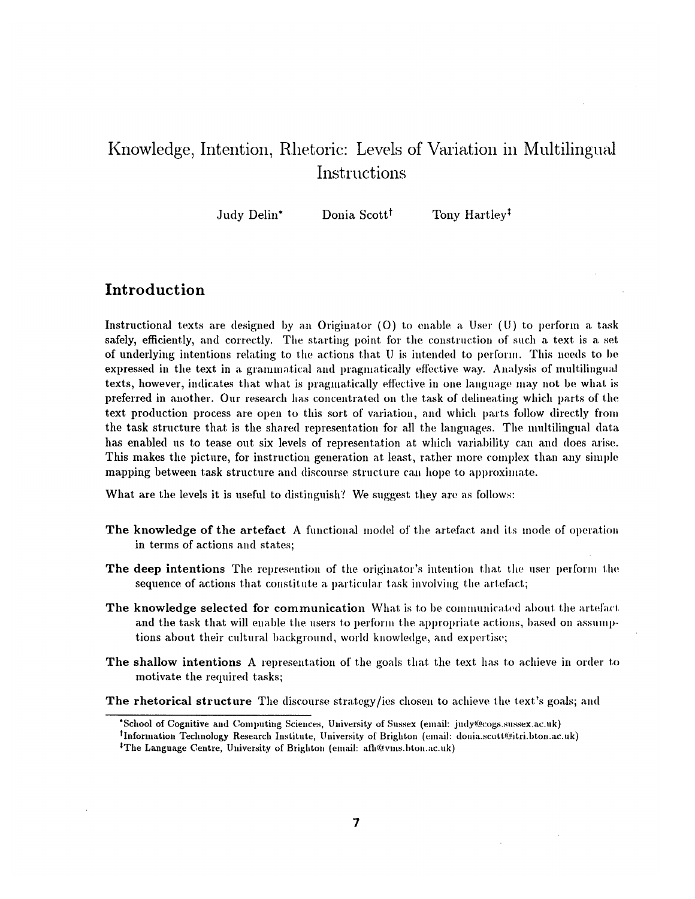# Knowledge, Intention, Rhetoric: Levels of Variation in Multilingual Instructions

Judy Delin<sup>\*</sup> Donia Scott<sup>†</sup> Tony Hartley<sup>†</sup>

# **Introduction**

Instructional texts are designed by an Originator  $(0)$  to enable a User  $(U)$  to perform a task safely, efficiently, and correctly. The starting point for the construction of such a text is a set of underlying intentions relating to the actions that  $U$  is intended to perform. This needs to be expressed in the text in a grammatical and pragmatically effective way. Analysis of multilingual texts, however, indicates that what is pragmatically effective in one language may not be what is preferred in another. Our research has concentrated on the task of delineating which parts of the text production process are open to this sort of variation, and which parts follow directly from the task structure that is the shared representation for all the languages. The multilingual data has enabled us to tease out six levels of representation at which variability can and does arise. This makes the picture, for instruction generation at least, rather more complex than any simple mapping between task structure and discourse structure can hope to approximate.

What are the levels it is useful to distinguish? We suggest they are as follows:

- The knowledge of the artefact A functional model of the artefact and its mode of operation in terms of actions and states;
- **The deep intentions** The represention of the originator's intention that the user perform the sequence of actions that constitute a particular task involving the artefact;
- **The knowledge selected for communication** What is to be communicated about the artefact and the task that will enable the users to perform the appropriate actions, based on assumptions about their cultural background, world knowledge, and expertise;
- **The** shallow intentions A representation of the goals that the text has to achieve in order to motivate the required tasks;

**The rhetorical structure** The discourse strategy/ies chosen to achieve the text's goals; and

<sup>\*</sup>School of Cognitive and Computing Sciences, University of Sussex (email: judy@cogs.sussex.ac.uk) <sup>†</sup>Information Technology Research Institute, University of Brighton (email: donia.scott@itri.bton.ac.uk) <sup>‡</sup>The Language Centre, University of Brighton (email: afh@vms.bton.ac.uk)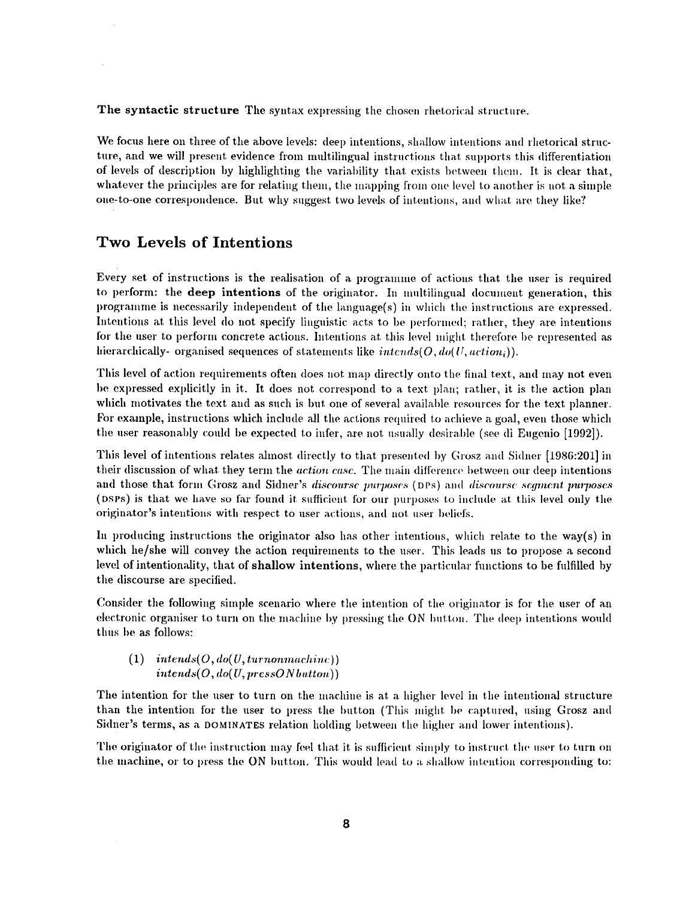The syntactic structure The syntax expressing the chosen rhetorical structure.

We focus here on three of the above levels: deep intentions, shallow intentions and rhetorical structure, and we will present evidence from multilingual instructions that supports this differentiation of levels of description hy highlighting the variability that exists between them. It is clear that, whatever the principles are for relating them, the mapping from one level to another is not a simple one-to-one correspondence. But why suggest two levels of intentions, and what are they like?

# **Two Levels of Intentions**

Every set of instructions is the realisation of a programme of actions that the user is required to perform: the deep intentions of the originator. In multilingual document generation, this programme is necessarily independent of the language $(s)$  in which the instructions are expressed. Intentions at this level do not specify linguistic acts to be performed; rather, they are intentions for the user to perform concrete actions. Intentions at this level might therefore be represented as hierarchically- organised sequences of statements like *intends(O, do(U, action<sub>i</sub>))*.

This level of action requirements often does not map directly onto the final text, and may not even he expressed explicitly in it. It does not correspond to a text plan; rather, it is the action plan which motivates the text and as such is but one of several available resources for the text planner. For example, instructions which include all the actions required to achieve a goal, even those which the user reasonably could be expected to infer, are not usually desirable (see di Eugenio [1992]).

This level of intentions relates almost directly to that presented by Grosz and Sidner [1986:201] in their discussion of what they term the *action case*. The main difference between our deep intentions and those that form Grosz and Sidner's *discourse purposes* (DPs) and *discourse segment purposes* (DSPs) is that we have so far found it sufficient for our purposes to include at this level only the originator's intentions with respect to user actions, and not user beliefs.

In producing instructions the originator also has other intentions, which relate to the way(s) in which he/she will convey the action requirements to the user. This leads us to propose a second level of intentionality, that of shallow intentions, where the particular functions to be fulfilled by the discourse are specified.

Consider the following simple scenario where the intention of the originator is for the user of an electronic organiser to turn on the machine by pressing the ON button. The deep intentions would thus be as follows:

 $(1)$  *intends* $(O, do(U, turn on machine))$  $intends(O, do(U, pressON button))$ 

The intention for the user to turn on the machine is at a higher level in the intentional structure than the intention for the user to press the button (This might be captured, using Grosz and Sidner's terms, as a DOMINATES relation holding between the higher and lower intentions).

The originator of the instruction may feel that it is sufficient simply to instruct the user to turn on the machine, or to press the ON button. This would lead to a shallow intention corresponding to: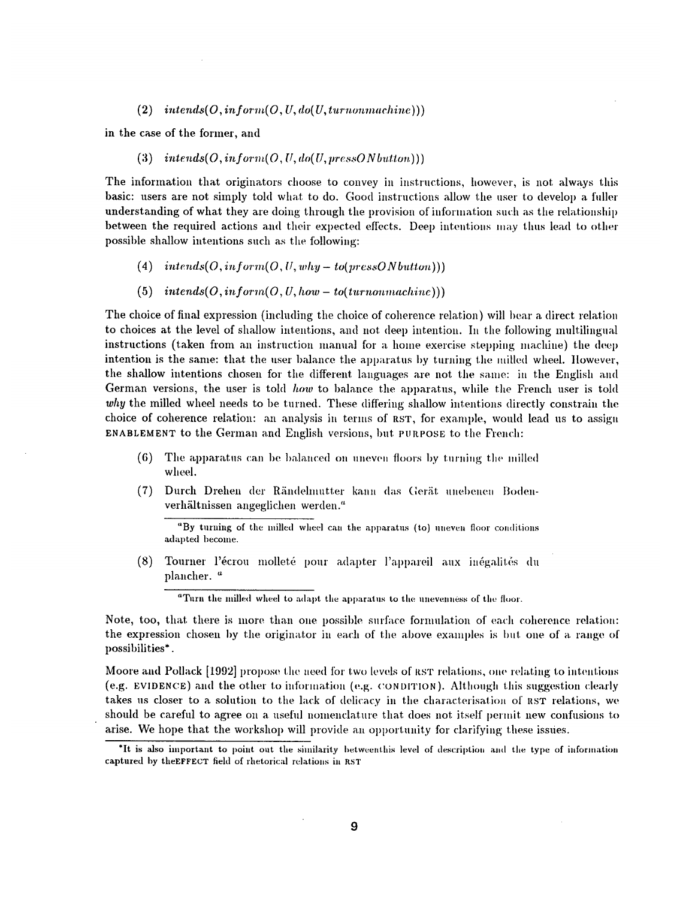$(2)$  *intends* $(O, inform(O, U, do(U, turnon machine)))$ 

in the case of the former, and

#### $(3)$  *intends* $(O, in form(O, U, do(U, pressONbutton)))$

The information that originators choose to convey in instructions, however, is not always this basic: users are not simply told what to do. Good instructions allow the user to develop a fuller understanding of what they are doing through the provision of information such as the relationship between the required actions and their expected effects. Deep intentions may thus lead to other possible shallow intentions such as the following:

- $(4)$  *intends* $(O, inform(O, U, why-to(pressONbutton)))$
- (5)  $intends(O, in form(O, U, how to (turn on machine)))$

The choice of final expression (including the choice of coherence relation) will bear a direct relation to choices at the level of shallow intentions, and not deep intention. In the following multilingual instructions (taken from an instruction manual for a home exercise stepping machine) the deep intention is the same: that the user balance the apparatus by turning the milled wheel. However, the shallow intentions chosen for the different languages are not the same: in the English and German versions, the user is told *how* to balance the apparatus, while the French user is told *why* the milled wheel needs to be turned. These differing shallow intentions directly constrain the choice of coherence relation: an analysis in terms of RST, for example, would lead us to assign ENABLEMENT to the German and English versions, but PURPOSE to the French:

- $(6)$  The apparatus can be balanced on uneven floors by turning the milled wheel.
- (7) Durch Drehen der Rändelmutter kann das Gerät unebenen Bodenverhältnissen angeglichen werden."

"By turning of the milled wheel can the apparatus (to) uneven floor conditions adapted become.

(8) Tourner l'écrou molleté pour adapter l'appareil aux inégalités du plancher. "

<sup>a</sup>Turn the milled wheel to adapt the apparatus to the unevenness of the floor.

Note, too, that there is more than one possible surface formulation of each coherence relation: the expression chosen by the originator in each of the above examples is but one of a range of possibilities\*.

Moore and Pollack [1992] propose the need for two levels of RST relations, one relating to intentions (e.g. EVIDENCE) and the other to information (e.g. CONDITION). Although this suggestion clearly takes us closer to a solution to the lack of delicacy in the characterisation of RST relations, we should be careful to agree on a useful nomenclature that does not itself permit new confusions to arise. We hope that the workshop will provide an opportunity for clarifying these issues.

<sup>&</sup>lt;sup>\*</sup>It is also important to point out the similarity betweenthis level of description and the type of information captured by theEFFECT field of rhetorical relations in RST